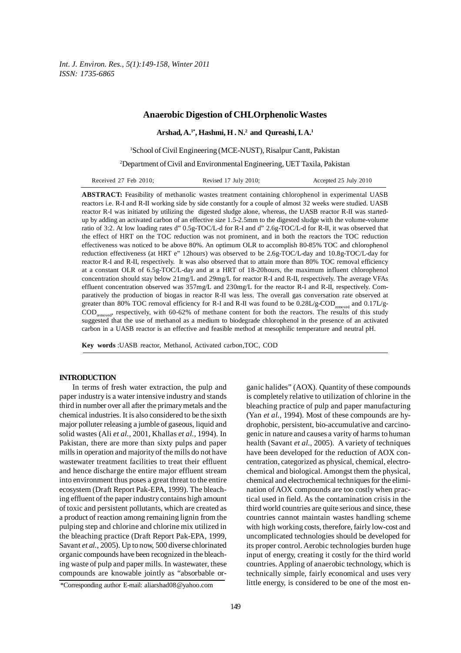*Int. J. Environ. Res., 5(1):149-158, Winter 2011 ISSN: 1735-6865*

## **Anaerobic Digestion of CHLOrphenolic Wastes**

**Arshad, A.1\*, Hashmi, H . N.2 and Qureashi, I. A.1**

<sup>1</sup>School of Civil Engineering (MCE-NUST), Risalpur Cantt, Pakistan

2 Department of Civil and Environmental Engineering, UET Taxila, Pakistan

| Accepted 25 July 2010<br>Revised 17 July 2010;<br>Received 27 Feb 2010; |  |
|-------------------------------------------------------------------------|--|
|-------------------------------------------------------------------------|--|

**ABSTRACT:** Feasibility of methanolic wastes treatment containing chlorophenol in experimental UASB reactors i.e. R-I and R-II working side by side constantly for a couple of almost 32 weeks were studied. UASB reactor R-I was initiated by utilizing the digested sludge alone, whereas, the UASB reactor R-II was startedup by adding an activated carbon of an effective size 1.5-2.5mm to the digested sludge with the volume-volume ratio of 3:2. At low loading rates d" 0.5g-TOC/L-d for R-I and d" 2.6g-TOC/L-d for R-II, it was observed that the effect of HRT on the TOC reduction was not prominent, and in both the reactors the TOC reduction effectiveness was noticed to be above 80%. An optimum OLR to accomplish 80-85% TOC and chlorophenol reduction effectiveness (at HRT e" 12hours) was observed to be 2.6g-TOC/L-day and 10.8g-TOC/L-day for reactor R-I and R-II, respectively. It was also observed that to attain more than 80% TOC removal efficiency at a constant OLR of 6.5g-TOC/L-day and at a HRT of 18-20hours, the maximum influent chlorophenol concentration should stay below 21mg/L and 29mg/L for reactor R-I and R-II, respectively. The average VFAs effluent concentration observed was 357mg/L and 230mg/L for the reactor R-I and R-II, respectively. Comparatively the production of biogas in reactor R-II was less. The overall gas conversation rate observed at greater than 80% TOC removal efficiency for R-I and R-II was found to be  $0.28L/g-COD_{\text{measured}}$  and  $0.17L/g-$ CODremoved, respectively, with 60-62% of methane content for both the reactors. The results of this study suggested that the use of methanol as a medium to biodegrade chlorophenol in the presence of an activated carbon in a UASB reactor is an effective and feasible method at mesophilic temperature and neutral pH.

**Key words** :UASB reactor, Methanol, Activated carbon,TOC, COD

### **INTRODUCTION**

In terms of fresh water extraction, the pulp and paper industry is a water intensive industry and stands third in number over all after the primary metals and the chemical industries. It is also considered to be the sixth major polluter releasing a jumble of gaseous, liquid and solid wastes (Ali *et al.,* 2001, Khallas *et al.,* 1994). In Pakistan, there are more than sixty pulps and paper mills in operation and majority of the mills do not have wastewater treatment facilities to treat their effluent and hence discharge the entire major effluent stream into environment thus poses a great threat to the entire ecosystem (Draft Report Pak-EPA, 1999). The bleaching effluent of the paper industry contains high amount of toxic and persistent pollutants, which are created as a product of reaction among remaining lignin from the pulping step and chlorine and chlorine mix utilized in the bleaching practice (Draft Report Pak-EPA, 1999, Savant *et al.,* 2005). Up to now, 500 diverse chlorinated organic compounds have been recognized in the bleaching waste of pulp and paper mills. In wastewater, these compounds are knowable jointly as "absorbable organic halides" (AOX). Quantity of these compounds is completely relative to utilization of chlorine in the bleaching practice of pulp and paper manufacturing (Yan *et al.,* 1994). Most of these compounds are hydrophobic, persistent, bio-accumulative and carcinogenic in nature and causes a varity of harms to human health (Savant *et al.,* 2005). A variety of techniques have been developed for the reduction of AOX concentration, categorized as physical, chemical, electrochemical and biological. Amongst them the physical, chemical and electrochemical techniques for the elimination of AOX compounds are too costly when practical used in field. As the contamination crisis in the third world countries are quite serious and since, these countries cannot maintain wastes handling scheme with high working costs, therefore, fairly low-cost and uncomplicated technologies should be developed for its proper control. Aerobic technologies burden huge input of energy, creating it costly for the third world countries. Appling of anaerobic technology, which is technically simple, fairly economical and uses very little energy, is considered to be one of the most en-

<sup>\*</sup>Corresponding author E-mail: aliarshad08@yahoo.com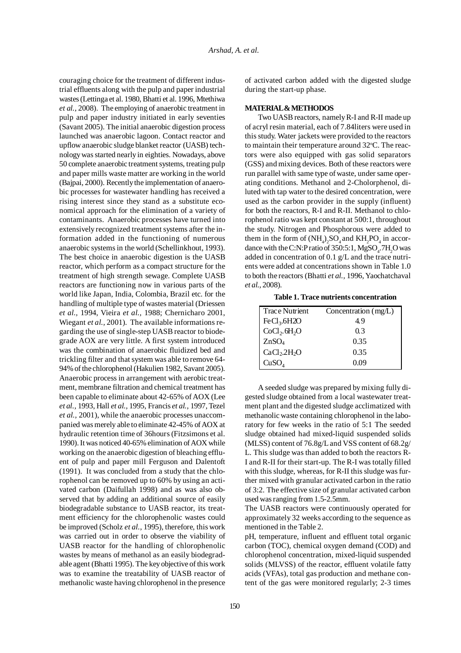couraging choice for the treatment of different industrial effluents along with the pulp and paper industrial wastes (Lettinga et al. 1980, Bhatti et al. 1996, Mtethiwa *et al.,* 2008). The employing of anaerobic treatment in pulp and paper industry initiated in early seventies (Savant 2005). The initial anaerobic digestion process launched was anaerobic lagoon. Contact reactor and upflow anaerobic sludge blanket reactor (UASB) technology was started nearly in eighties. Nowadays, above 50 complete anaerobic treatment systems, treating pulp and paper mills waste matter are working in the world (Bajpai, 2000). Recently the implementation of anaerobic processes for wastewater handling has received a rising interest since they stand as a substitute economical approach for the elimination of a variety of contaminants. Anaerobic processes have turned into extensively recognized treatment systems after the information added in the functioning of numerous anaerobic systems in the world (Schellinkhout, 1993). The best choice in anaerobic digestion is the UASB reactor, which perform as a compact structure for the treatment of high strength sewage. Complete UASB reactors are functioning now in various parts of the world like Japan, India, Colombia, Brazil etc. for the handling of multiple type of wastes material (Driessen *et al.,* 1994, Vieira *et al.,* 1988; Chernicharo 2001, Wiegant *et al.,* 2001). The available informations regarding the use of single-step UASB reactor to biodegrade AOX are very little. A first system introduced was the combination of anaerobic fluidized bed and trickling filter and that system was able to remove 64- 94% of the chlorophenol (Hakulien 1982, Savant 2005). Anaerobic process in arrangement with aerobic treatment, membrane filtration and chemical treatment has been capable to eliminate about 42-65% of AOX (Lee *et al.,* 1993, Hall *et al.,* 1995, Francis *et al.,* 1997, Tezel *et al.,* 2001), while the anaerobic processes unaccompanied was merely able to eliminate 42-45% of AOX at hydraulic retention time of 36hours (Fitzsimons et al. 1990). It was noticed 40-65% elimination of AOX while working on the anaerobic digestion of bleaching effluent of pulp and paper mill Ferguson and Dalentoft (1991). It was concluded from a study that the chlorophenol can be removed up to 60% by using an activated carbon (Daifullah 1998) and as was also observed that by adding an additional source of easily biodegradable substance to UASB reactor, its treatment efficiency for the chlorophenolic wastes could be improved (Scholz *et al.,* 1995), therefore, this work was carried out in order to observe the viability of UASB reactor for the handling of chlorophenolic wastes by means of methanol as an easily biodegradable agent (Bhatti 1995). The key objective of this work was to examine the treatability of UASB reactor of methanolic waste having chlorophenol in the presence

of activated carbon added with the digested sludge during the start-up phase.

### **MATERIAL & METHODOS**

Two UASB reactors, namely R-I and R-II made up of acryl resin material, each of 7.84liters were used in this study. Water jackets were provided to the reactors to maintain their temperature around 32°C. The reactors were also equipped with gas solid separators (GSS) and mixing devices. Both of these reactors were run parallel with same type of waste, under same operating conditions. Methanol and 2-Cholorphenol, diluted with tap water to the desired concentration, were used as the carbon provider in the supply (influent) for both the reactors, R-I and R-II. Methanol to chlorophenol ratio was kept constant at 500:1, throughout the study. Nitrogen and Phosphorous were added to them in the form of  $(NH_4)_2SO_4$  and  $KH_2PO_4$  in accordance with the C:N:P ratio of 350:5:1,  $MgSO_4$ .7H<sub>2</sub>O was added in concentration of 0.1 g/L and the trace nutrients were added at concentrations shown in Table 1.0 to both the reactors (Bhatti *et al.,* 1996, Yaochatchaval *et al.,* 2008).

 **Table 1. Trace nutrients concentration**

| Trace Nutrient                       | Concentration (mg/L) |
|--------------------------------------|----------------------|
| $FeCl3$ .6H2O                        | 49                   |
| CoCl <sub>2</sub> .6H <sub>2</sub> O | 0.3                  |
| ZnSO <sub>4</sub>                    | 0.35                 |
| CaCl <sub>2</sub> .2H <sub>2</sub> O | 0.35                 |
| CuSO <sub>4</sub>                    | 0.09                 |

A seeded sludge was prepared by mixing fully digested sludge obtained from a local wastewater treatment plant and the digested sludge acclimatized with methanolic waste containing chlorophenol in the laboratory for few weeks in the ratio of 5:1 The seeded sludge obtained had mixed-liquid suspended solids (MLSS) content of 76.8g/L and VSS content of 68.2g/ L. This sludge was than added to both the reactors R-I and R-II for their start-up. The R-I was totally filled with this sludge, whereas, for R-II this sludge was further mixed with granular activated carbon in the ratio of 3:2. The effective size of granular activated carbon used was ranging from 1.5-2.5mm.

The UASB reactors were continuously operated for approximately 32 weeks according to the sequence as mentioned in the Table 2.

pH, temperature, influent and effluent total organic carbon (TOC), chemical oxygen demand (COD) and chlorophenol concentration, mixed-liquid suspended solids (MLVSS) of the reactor, effluent volatile fatty acids (VFAs), total gas production and methane content of the gas were monitored regularly; 2-3 times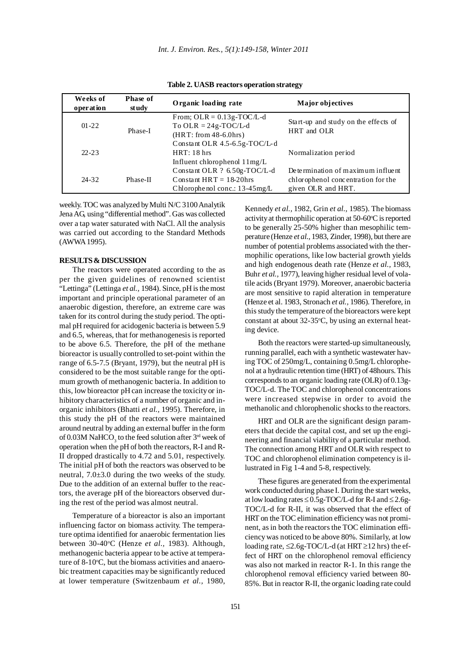| Weeks of<br>operation | <b>Phase of</b><br>st udy | Organic loading rate                                                                          | Major objectives                                                                              |
|-----------------------|---------------------------|-----------------------------------------------------------------------------------------------|-----------------------------------------------------------------------------------------------|
| $01 - 22$             | Phase-I                   | From; $OLR = 0.13g-TOC/L-d$<br>To OLR = $24g$ -TOC/L-d<br>$(HRT: from 48-6.0hrs)$             | Start-up and study on the effects of<br>HRT and OLR                                           |
| $22 - 23$             |                           | Constant OLR $4.5 - 6.5g$ -TOC/L-d<br>HRT: 18 hrs<br>Influent chlorophenol $11mg/L$           | Normalization period                                                                          |
| $24 - 32$             | Phase-II                  | Constant OLR ? 6.50g-TOC/L-d<br>Constant HRT = $18-20$ hrs<br>Chlorophenol conc.: $13-45mg/L$ | Determination of maximum influent<br>chlorophenol concentration for the<br>given OLR and HRT. |

**Table 2. UASB reactors operation strategy**

weekly. TOC was analyzed by Multi N/C 3100 Analytik Jena AG, using "differential method". Gas was collected over a tap water saturated with NaCl. All the analysis was carried out according to the Standard Methods (AWWA 1995).

### **RESULTS & DISCUSSION**

The reactors were operated according to the as per the given guidelines of renowned scientist "Lettinga" (Lettinga *et al.,* 1984). Since, pH is the most important and principle operational parameter of an anaerobic digestion, therefore, an extreme care was taken for its control during the study period. The optimal pH required for acidogenic bacteria is between 5.9 and 6.5, whereas, that for methanogenesis is reported to be above 6.5. Therefore, the pH of the methane bioreactor is usually controlled to set-point within the range of 6.5-7.5 (Bryant, 1979), but the neutral pH is considered to be the most suitable range for the optimum growth of methanogenic bacteria. In addition to this, low bioreactor pH can increase the toxicity or inhibitory characteristics of a number of organic and inorganic inhibitors (Bhatti *et al.,* 1995). Therefore, in this study the pH of the reactors were maintained around neutral by adding an external buffer in the form of 0.03M NaHCO<sub>3</sub> to the feed solution after 3<sup>rd</sup> week of operation when the pH of both the reactors, R-I and R-II dropped drastically to 4.72 and 5.01, respectively. The initial pH of both the reactors was observed to be neutral, 7.0±3.0 during the two weeks of the study. Due to the addition of an external buffer to the reactors, the average pH of the bioreactors observed during the rest of the period was almost neutral.

Temperature of a bioreactor is also an important influencing factor on biomass activity. The temperature optima identified for anaerobic fermentation lies between 30-40°C (Henze et al., 1983). Although, methanogenic bacteria appear to be active at temperature of 8-10°C, but the biomass activities and anaerobic treatment capacities may be significantly reduced at lower temperature (Switzenbaum *et al.,* 1980, Kennedy *et al.,* 1982, Grin *et al.,* 1985). The biomass activity at thermophilic operation at 50-60°C is reported to be generally 25-50% higher than mesophilic temperature (Henze *et al.,* 1983, Zinder, 1998), but there are number of potential problems associated with the thermophilic operations, like low bacterial growth yields and high endogenous death rate (Henze *et al.,* 1983, Buhr *et al.,* 1977), leaving higher residual level of volatile acids (Bryant 1979). Moreover, anaerobic bacteria are most sensitive to rapid alteration in temperature (Henze et al. 1983, Stronach *et al.,* 1986). Therefore, in this study the temperature of the bioreactors were kept constant at about  $32-35$ °C, by using an external heating device.

Both the reactors were started-up simultaneously, running parallel, each with a synthetic wastewater having TOC of 250mg/L, containing 0.5mg/L chlorophenol at a hydraulic retention time (HRT) of 48hours. This corresponds to an organic loading rate (OLR) of 0.13g-TOC/L-d. The TOC and chlorophenol concentrations were increased stepwise in order to avoid the methanolic and chlorophenolic shocks to the reactors.

HRT and OLR are the significant design parameters that decide the capital cost, and set up the engineering and financial viability of a particular method. The connection among HRT and OLR with respect to TOC and chlorophenol elimination competency is illustrated in Fig 1-4 and 5-8, respectively.

These figures are generated from the experimental work conducted during phase I. During the start weeks, at low loading rates  $\leq 0.5$ g-TOC/L-d for R-I and  $\leq 2.6$ g-TOC/L-d for R-II, it was observed that the effect of HRT on the TOC elimination efficiency was not prominent, as in both the reactors the TOC elimination efficiency was noticed to be above 80%. Similarly, at low loading rate, ≤2.6g-TOC/L-d (at HRT ≥12 hrs) the effect of HRT on the chlorophenol removal efficiency was also not marked in reactor R-1. In this range the chlorophenol removal efficiency varied between 80- 85%. But in reactor R-II, the organic loading rate could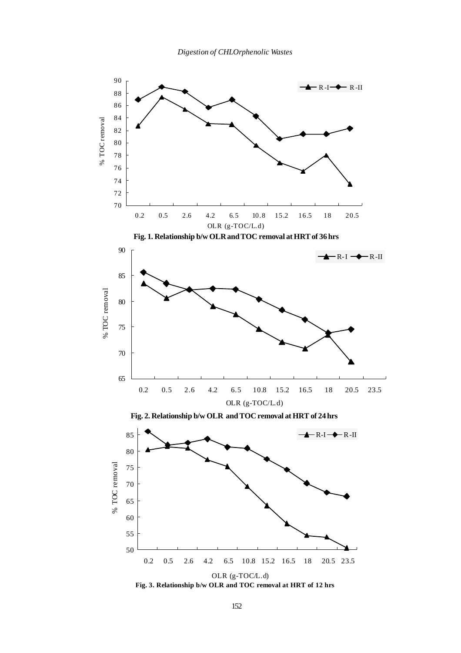

**Fig. 3. Relationship b/w OLR and TOC removal at HRT of 12 hrs**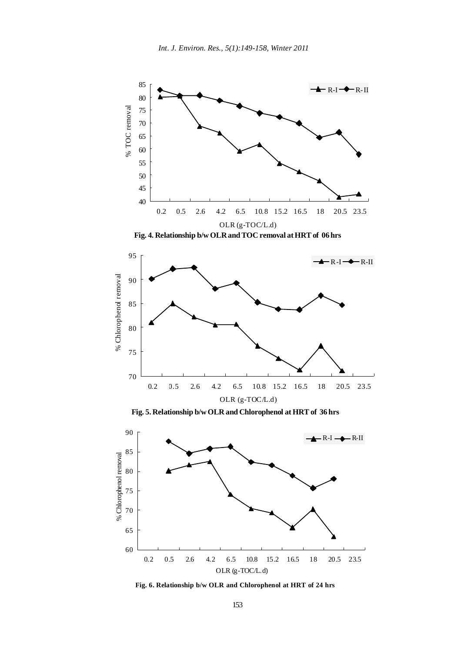

**Fig. 4. Relationship b/w OLR and TOC removal at HRT of 06 hrs**



**Fig. 5. Relationship b/w OLR and Chlorophenol at HRT of 36 hrs**



**Fig. 6. Relationship b/w OLR and Chlorophenol at HRT of 24 hrs**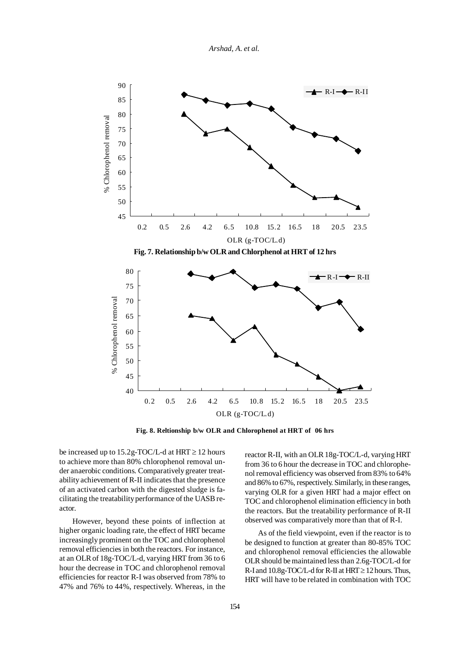*Arshad, A. et al.*



**Fig. 8. Reltionship b/w OLR and Chlorophenol at HRT of 06 hrs**

be increased up to  $15.2g$ -TOC/L-d at HRT  $\geq 12$  hours to achieve more than 80% chlorophenol removal under anaerobic conditions. Comparatively greater treatability achievement of R-II indicates that the presence of an activated carbon with the digested sludge is facilitating the treatability performance of the UASB reactor.

However, beyond these points of inflection at higher organic loading rate, the effect of HRT became increasingly prominent on the TOC and chlorophenol removal efficiencies in both the reactors. For instance, at an OLR of 18g-TOC/L-d, varying HRT from 36 to 6 hour the decrease in TOC and chlorophenol removal efficiencies for reactor R-I was observed from 78% to 47% and 76% to 44%, respectively. Whereas, in the reactor R-II, with an OLR 18g-TOC/L-d, varying HRT from 36 to 6 hour the decrease in TOC and chlorophenol removal efficiency was observed from 83% to 64% and 86% to 67%, respectively. Similarly, in these ranges, varying OLR for a given HRT had a major effect on TOC and chlorophenol elimination efficiency in both the reactors. But the treatability performance of R-II observed was comparatively more than that of R-I.

As of the field viewpoint, even if the reactor is to be designed to function at greater than 80-85% TOC and chlorophenol removal efficiencies the allowable OLR should be maintained less than 2.6g-TOC/L-d for R-I and  $10.8g$ -TOC/L-d for R-II at HRT  $\geq 12$  hours. Thus, HRT will have to be related in combination with TOC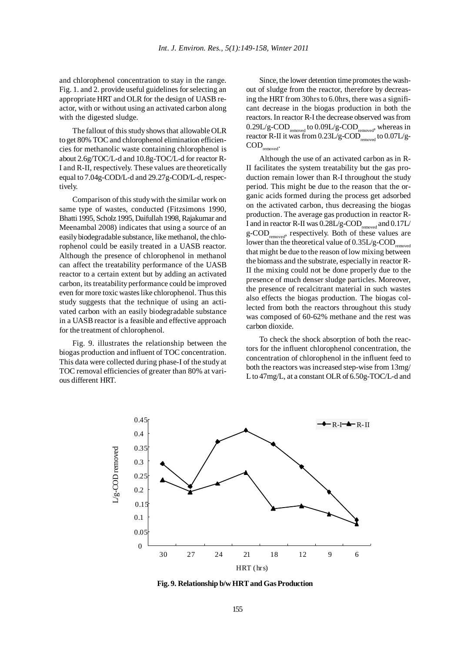and chlorophenol concentration to stay in the range. Fig. 1. and 2. provide useful guidelines for selecting an appropriate HRT and OLR for the design of UASB reactor, with or without using an activated carbon along with the digested sludge.

The fallout of this study shows that allowable OLR to get 80% TOC and chlorophenol elimination efficiencies for methanolic waste containing chlorophenol is about 2.6g/TOC/L-d and 10.8g-TOC/L-d for reactor R-I and R-II, respectively. These values are theoretically equal to 7.04g-COD/L-d and 29.27g-COD/L-d, respectively.

Comparison of this study with the similar work on same type of wastes, conducted (Fitzsimons 1990, Bhatti 1995, Scholz 1995, Daifullah 1998, Rajakumar and Meenambal 2008) indicates that using a source of an easily biodegradable substance, like methanol, the chlorophenol could be easily treated in a UASB reactor. Although the presence of chlorophenol in methanol can affect the treatability performance of the UASB reactor to a certain extent but by adding an activated carbon, its treatability performance could be improved even for more toxic wastes like chlorophenol. Thus this study suggests that the technique of using an activated carbon with an easily biodegradable substance in a UASB reactor is a feasible and effective approach for the treatment of chlorophenol.

Fig. 9. illustrates the relationship between the biogas production and influent of TOC concentration. This data were collected during phase-I of the study at TOC removal efficiencies of greater than 80% at various different HRT.

Since, the lower detention time promotes the washout of sludge from the reactor, therefore by decreasing the HRT from 30hrs to 6.0hrs, there was a significant decrease in the biogas production in both the reactors. In reactor R-I the decrease observed was from  $0.29L/g\text{-}COD_{\text{removed}}$  to  $0.09L/g\text{-}COD_{\text{removed}}$ , whereas in reactor R-II it was from  $0.23L/g\text{-}COD_\text{removed}$  to  $0.07L/g\text{-}$ COD<sub>removed</sub>.

Although the use of an activated carbon as in R-II facilitates the system treatability but the gas production remain lower than R-I throughout the study period. This might be due to the reason that the organic acids formed during the process get adsorbed on the activated carbon, thus decreasing the biogas production. The average gas production in reactor R-I and in reactor R-II was  $0.28L/g$ -COD<sub>removed</sub> and  $0.17L/$ g-COD<sub>removed</sub>, respectively. Both of these values are lower than the theoretical value of  $0.35L/g$ -COD<sub>removed</sub> that might be due to the reason of low mixing between the biomass and the substrate, especially in reactor R-II the mixing could not be done properly due to the presence of much denser sludge particles. Moreover, the presence of recalcitrant material in such wastes also effects the biogas production. The biogas collected from both the reactors throughout this study was composed of 60-62% methane and the rest was carbon dioxide.

To check the shock absorption of both the reactors for the influent chlorophenol concentration, the concentration of chlorophenol in the influent feed to both the reactors was increased step-wise from 13mg/ L to 47mg/L, at a constant OLR of 6.50g-TOC/L-d and



**Fig. 9. Relationship b/w HRT and Gas Production**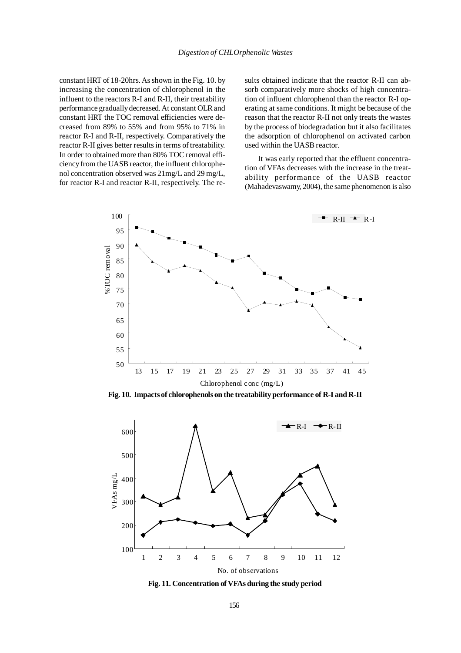constant HRT of 18-20hrs. As shown in the Fig. 10. by increasing the concentration of chlorophenol in the influent to the reactors R-I and R-II, their treatability performance gradually decreased. At constant OLR and constant HRT the TOC removal efficiencies were decreased from 89% to 55% and from 95% to 71% in reactor R-I and R-II, respectively. Comparatively the reactor R-II gives better results in terms of treatability. In order to obtained more than 80% TOC removal efficiency from the UASB reactor, the influent chlorophenol concentration observed was 21mg/L and 29 mg/L, for reactor R-I and reactor R-II, respectively. The results obtained indicate that the reactor R-II can absorb comparatively more shocks of high concentration of influent chlorophenol than the reactor R-I operating at same conditions. It might be because of the reason that the reactor R-II not only treats the wastes by the process of biodegradation but it also facilitates the adsorption of chlorophenol on activated carbon used within the UASB reactor.

It was early reported that the effluent concentration of VFAs decreases with the increase in the treatability performance of the UASB reactor (Mahadevaswamy, 2004), the same phenomenon is also



**Fig. 10. Impacts of chlorophenols on the treatability performance of R-I and R-II**



**Fig. 11. Concentration of VFAs during the study period**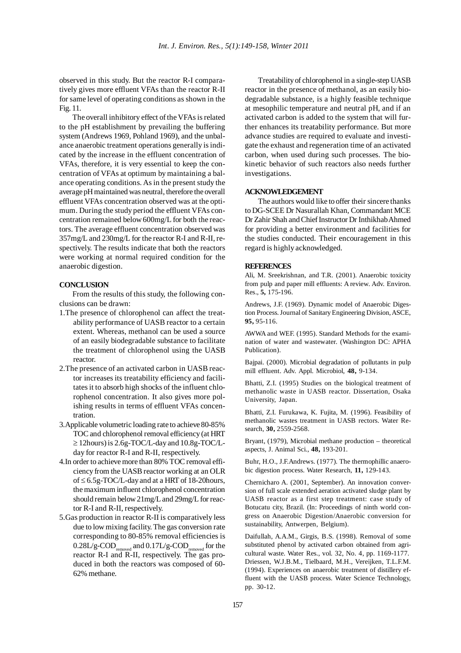observed in this study. But the reactor R-I comparatively gives more effluent VFAs than the reactor R-II for same level of operating conditions as shown in the Fig. 11.

The overall inhibitory effect of the VFAs is related to the pH establishment by prevailing the buffering system (Andrews 1969, Pohland 1969), and the unbalance anaerobic treatment operations generally is indicated by the increase in the effluent concentration of VFAs, therefore, it is very essential to keep the concentration of VFAs at optimum by maintaining a balance operating conditions. As in the present study the average pH maintained was neutral, therefore the overall effluent VFAs concentration observed was at the optimum. During the study period the effluent VFAs concentration remained below 600mg/L for both the reactors. The average effluent concentration observed was 357mg/L and 230mg/L for the reactor R-I and R-II, respectively. The results indicate that both the reactors were working at normal required condition for the anaerobic digestion.

## **CONCLUSION**

From the results of this study, the following conclusions can be drawn:

- 1.The presence of chlorophenol can affect the treatability performance of UASB reactor to a certain extent. Whereas, methanol can be used a source of an easily biodegradable substance to facilitate the treatment of chlorophenol using the UASB reactor.
- 2.The presence of an activated carbon in UASB reactor increases its treatability efficiency and facilitates it to absorb high shocks of the influent chlorophenol concentration. It also gives more polishing results in terms of effluent VFAs concentration.
- 3.Applicable volumetric loading rate to achieve 80-85% TOC and chlorophenol removal efficiency (at HRT ≥ 12hours) is 2.6g-TOC/L-day and 10.8g-TOC/Lday for reactor R-I and R-II, respectively.
- 4.In order to achieve more than 80% TOC removal efficiency from the UASB reactor working at an OLR of ≤ 6.5g-TOC/L-day and at a HRT of 18-20hours, the maximum influent chlorophenol concentration should remain below 21mg/L and 29mg/L for reactor R-I and R-II, respectively.
- 5.Gas production in reactor R-II is comparatively less due to low mixing facility. The gas conversion rate corresponding to 80-85% removal efficiencies is  $0.28L/g$ -COD<sub>removed</sub> and  $0.17L/g$ -COD<sub>removed</sub> for the reactor R-I and R-II, respectively. The gas produced in both the reactors was composed of 60- 62% methane.

Treatability of chlorophenol in a single-step UASB reactor in the presence of methanol, as an easily biodegradable substance, is a highly feasible technique at mesophilic temperature and neutral pH, and if an activated carbon is added to the system that will further enhances its treatability performance. But more advance studies are required to evaluate and investigate the exhaust and regeneration time of an activated carbon, when used during such processes. The biokinetic behavior of such reactors also needs further investigations.

# **ACKNOWLEDGEMENT**

The authors would like to offer their sincere thanks to DG-SCEE Dr Nasurallah Khan, Commandant MCE Dr Zahir Shah and Chief Instructor Dr Inthikhab Ahmed for providing a better environment and facilities for the studies conducted. Their encouragement in this regard is highly acknowledged.

#### **REFERENCES**

Ali, M. Sreekrishnan, and T.R. (2001). Anaerobic toxicity from pulp and paper mill effluents: A review. Adv. Environ. Res., **5,** 175-196.

Andrews, J.F. (1969). Dynamic model of Anaerobic Digestion Process. Journal of Sanitary Engineering Division, ASCE, **95,** 95-116.

AWWA and WEF. (1995). Standard Methods for the examination of water and wastewater. (Washington DC: APHA Publication).

Bajpai. (2000). Microbial degradation of pollutants in pulp mill effluent. Adv. Appl. Microbiol, **48,** 9-134.

Bhatti, Z.I. (1995) Studies on the biological treatment of methanolic waste in UASB reactor. Dissertation, Osaka University, Japan.

Bhatti, Z.I. Furukawa, K. Fujita, M. (1996). Feasibility of methanolic wastes treatment in UASB rectors. Water Research, **30,** 2559-2568.

Bryant, (1979), Microbial methane production – theoretical aspects, J. Animal Sci., **48,** 193-201.

Buhr, H.O., J.F.Andrews. (1977). The thermophillic anaerobic digestion process. Water Research, **11,** 129-143.

Chernicharo A. (2001, September). An innovation conversion of full scale extended aeration activated sludge plant by UASB reactor as a first step treatment: case study of Botucatu city, Brazil. (In: Proceedings of ninth world congress on Anaerobic Digestion/Anaerobic conversion for sustainability, Antwerpen, Belgium).

Daifullah, A.A.M., Girgis, B.S. (1998). Removal of some substituted phenol by activated carbon obtained from agricultural waste. Water Res., vol. 32, No. 4, pp. 1169-1177. Driessen, W.J.B.M., Tielbaard, M.H., Vereijken, T.L.F.M. (1994). Experiences on anaerobic treatment of distillery effluent with the UASB process. Water Science Technology, pp. 30-12.